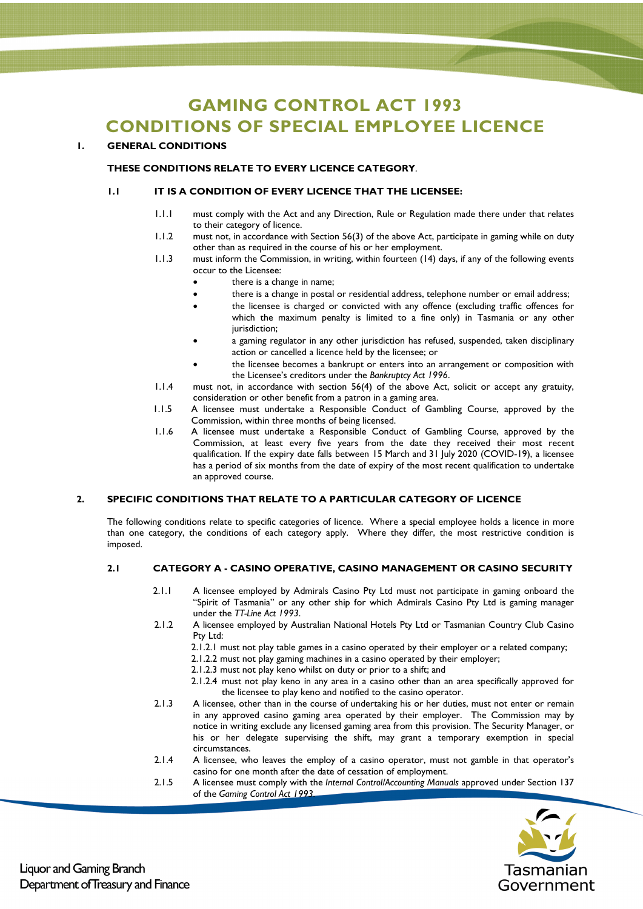# **GAMING CONTROL ACT 1993 CONDITIONS OF SPECIAL EMPLOYEE LICENCE**

# **1. GENERAL CONDITIONS**

## **THESE CONDITIONS RELATE TO EVERY LICENCE CATEGORY**.

#### **1.1 IT IS A CONDITION OF EVERY LICENCE THAT THE LICENSEE:**

- 1.1.1 must comply with the Act and any Direction, Rule or Regulation made there under that relates to their category of licence.
- 1.1.2 must not, in accordance with Section 56(3) of the above Act, participate in gaming while on duty other than as required in the course of his or her employment.
- 1.1.3 must inform the Commission, in writing, within fourteen (14) days, if any of the following events occur to the Licensee:
	- there is a change in name;
	- there is a change in postal or residential address, telephone number or email address;
	- the licensee is charged or convicted with any offence (excluding traffic offences for which the maximum penalty is limited to a fine only) in Tasmania or any other jurisdiction;
	- a gaming regulator in any other jurisdiction has refused, suspended, taken disciplinary action or cancelled a licence held by the licensee; or
	- the licensee becomes a bankrupt or enters into an arrangement or composition with the Licensee's creditors under the *Bankruptcy Act 1996*.
- 1.1.4 must not, in accordance with section 56(4) of the above Act, solicit or accept any gratuity, consideration or other benefit from a patron in a gaming area.
- 1.1.5 A licensee must undertake a Responsible Conduct of Gambling Course, approved by the Commission, within three months of being licensed.
- 1.1.6 A licensee must undertake a Responsible Conduct of Gambling Course, approved by the Commission, at least every five years from the date they received their most recent qualification. If the expiry date falls between 15 March and 31 July 2020 (COVID-19), a licensee has a period of six months from the date of expiry of the most recent qualification to undertake an approved course.

#### **2. SPECIFIC CONDITIONS THAT RELATE TO A PARTICULAR CATEGORY OF LICENCE**

The following conditions relate to specific categories of licence. Where a special employee holds a licence in more than one category, the conditions of each category apply. Where they differ, the most restrictive condition is imposed.

# **2.1 CATEGORY A - CASINO OPERATIVE, CASINO MANAGEMENT OR CASINO SECURITY**

- 2.1.1 A licensee employed by Admirals Casino Pty Ltd must not participate in gaming onboard the "Spirit of Tasmania" or any other ship for which Admirals Casino Pty Ltd is gaming manager under the *TT-Line Act 1993*.
- 2.1.2 A licensee employed by Australian National Hotels Pty Ltd or Tasmanian Country Club Casino Pty Ltd:
	- 2.1.2.1 must not play table games in a casino operated by their employer or a related company;
	- 2.1.2.2 must not play gaming machines in a casino operated by their employer;
	- 2.1.2.3 must not play keno whilst on duty or prior to a shift; and
	- 2.1.2.4 must not play keno in any area in a casino other than an area specifically approved for the licensee to play keno and notified to the casino operator.
- 2.1.3 A licensee, other than in the course of undertaking his or her duties, must not enter or remain in any approved casino gaming area operated by their employer. The Commission may by notice in writing exclude any licensed gaming area from this provision. The Security Manager, or his or her delegate supervising the shift, may grant a temporary exemption in special circumstances.
- 2.1.4 A licensee, who leaves the employ of a casino operator, must not gamble in that operator's casino for one month after the date of cessation of employment.
- 2.1.5 A licensee must comply with the *Internal Control/Accounting Manuals* approved under Section 137 of the *Gaming Control Act 1993.*